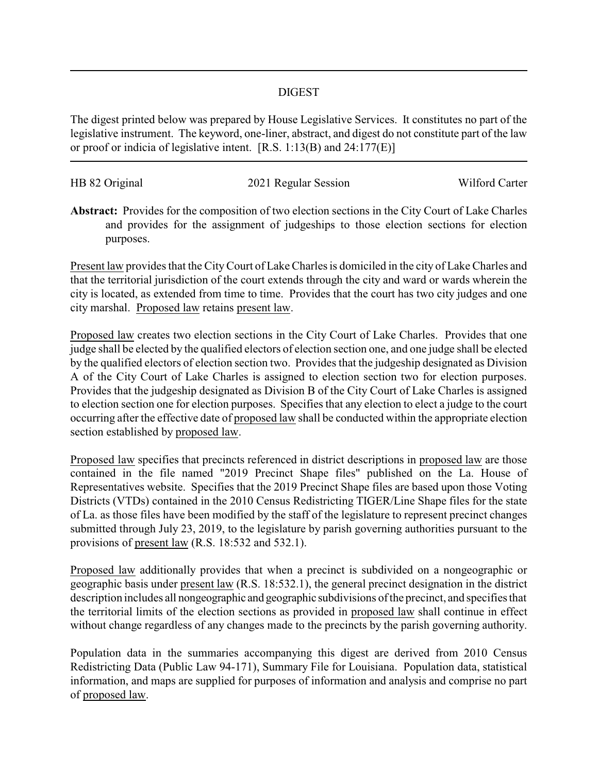## DIGEST

The digest printed below was prepared by House Legislative Services. It constitutes no part of the legislative instrument. The keyword, one-liner, abstract, and digest do not constitute part of the law or proof or indicia of legislative intent. [R.S. 1:13(B) and 24:177(E)]

| HB 82 Original | 2021 Regular Session | Wilford Carter |
|----------------|----------------------|----------------|
|                |                      |                |

**Abstract:** Provides for the composition of two election sections in the City Court of Lake Charles and provides for the assignment of judgeships to those election sections for election purposes.

Present law provides that the CityCourt of Lake Charles is domiciled in the city of Lake Charles and that the territorial jurisdiction of the court extends through the city and ward or wards wherein the city is located, as extended from time to time. Provides that the court has two city judges and one city marshal. Proposed law retains present law.

Proposed law creates two election sections in the City Court of Lake Charles. Provides that one judge shall be elected by the qualified electors of election section one, and one judge shall be elected by the qualified electors of election section two. Provides that the judgeship designated as Division A of the City Court of Lake Charles is assigned to election section two for election purposes. Provides that the judgeship designated as Division B of the City Court of Lake Charles is assigned to election section one for election purposes. Specifies that any election to elect a judge to the court occurring after the effective date of proposed law shall be conducted within the appropriate election section established by proposed law.

Proposed law specifies that precincts referenced in district descriptions in proposed law are those contained in the file named "2019 Precinct Shape files" published on the La. House of Representatives website. Specifies that the 2019 Precinct Shape files are based upon those Voting Districts (VTDs) contained in the 2010 Census Redistricting TIGER/Line Shape files for the state of La. as those files have been modified by the staff of the legislature to represent precinct changes submitted through July 23, 2019, to the legislature by parish governing authorities pursuant to the provisions of present law (R.S. 18:532 and 532.1).

Proposed law additionally provides that when a precinct is subdivided on a nongeographic or geographic basis under present law (R.S. 18:532.1), the general precinct designation in the district description includes all nongeographic and geographic subdivisions of the precinct, and specifies that the territorial limits of the election sections as provided in proposed law shall continue in effect without change regardless of any changes made to the precincts by the parish governing authority.

Population data in the summaries accompanying this digest are derived from 2010 Census Redistricting Data (Public Law 94-171), Summary File for Louisiana. Population data, statistical information, and maps are supplied for purposes of information and analysis and comprise no part of proposed law.